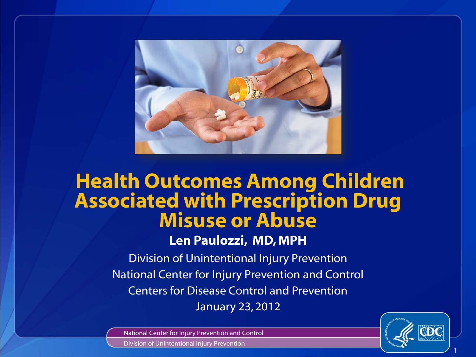

# **Health Outcomes Among Children Associated with Prescription Drug Misuse or Abuse**

**Len Paulozzi, MD, MPH**

Division of Unintentional Injury Prevention National Center for Injury Prevention and Control Centers for Disease Control and Prevention January 23, 2012

National Center for Injury Prevention and Control



Division of Unintentional Injury Prevention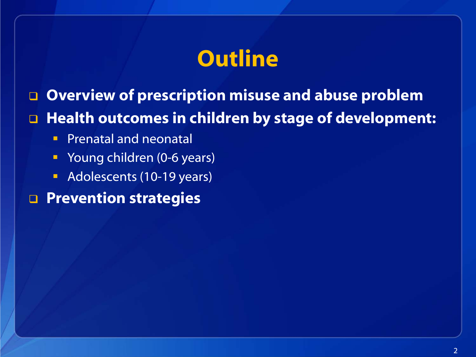# **Outline**

**Overview of prescription misuse and abuse problem**

#### **Health outcomes in children by stage of development:**

- **Prenatal and neonatal**
- Young children (0-6 years)
- Adolescents (10-19 years)

#### **Prevention strategies**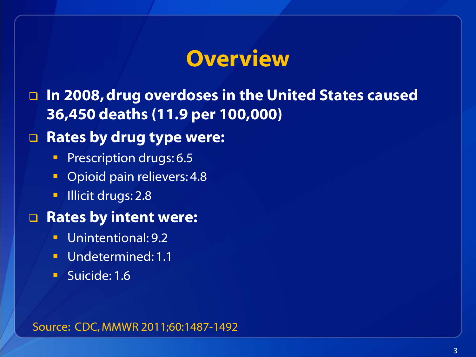# **Overview**

 **In 2008, drug overdoses in the United States caused 36,450 deaths (11.9 per 100,000)** 

#### **Rates by drug type were:**

- **Prescription drugs: 6.5**
- **•** Opioid pain relievers: 4.8
- **Illicit drugs: 2.8**

#### **Rates by intent were:**

- Unintentional: 9.2
- Undetermined: 1.1
- Suicide: 1.6

Source: CDC, MMWR 2011;60:1487-1492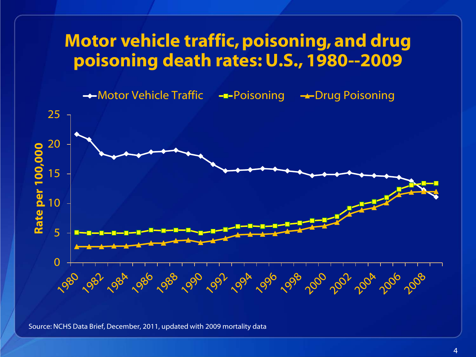#### **Motor vehicle traffic, poisoning, and drug poisoning death rates: U.S., 1980--2009**

→ Motor Vehicle Traffic - - Poisoning + Drug Poisoning



Source: NCHS Data Brief, December, 2011, updated with 2009 mortality data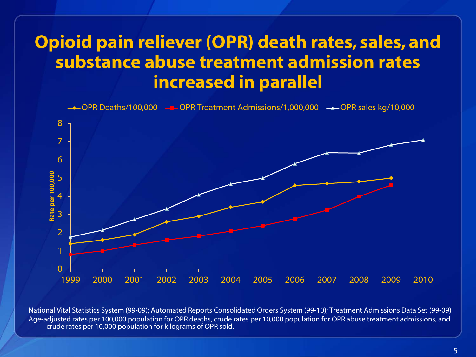# **Opioid pain reliever (OPR) death rates, sales, and substance abuse treatment admission rates increased in parallel**



National Vital Statistics System (99-09); Automated Reports Consolidated Orders System (99-10); Treatment Admissions Data Set (99-09) Age-adjusted rates per 100,000 population for OPR deaths, crude rates per 10,000 population for OPR abuse treatment admissions, and crude rates per 10,000 population for kilograms of OPR sold.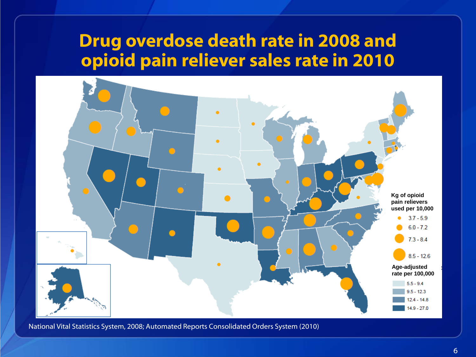#### **Drug overdose death rate in 2008 and opioid pain reliever sales rate in 2010**



National Vital Statistics System, 2008; Automated Reports Consolidated Orders System (2010)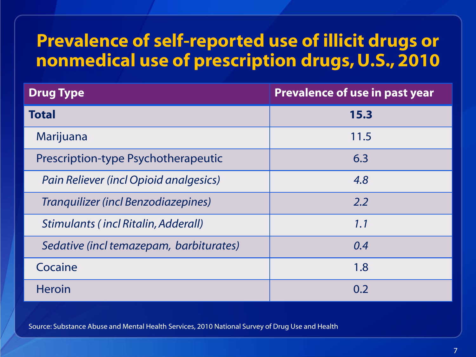# **Prevalence of self-reported use of illicit drugs or nonmedical use of prescription drugs, U.S., 2010**

| <b>Drug Type</b>                        | <b>Prevalence of use in past year</b> |
|-----------------------------------------|---------------------------------------|
| <b>Total</b>                            | 15.3                                  |
| Marijuana                               | 11.5                                  |
| Prescription-type Psychotherapeutic     | 6.3                                   |
| Pain Reliever (incl Opioid analgesics)  | 4.8                                   |
| Tranquilizer (incl Benzodiazepines)     | 2.2                                   |
| Stimulants (incl Ritalin, Adderall)     | 1.1                                   |
| Sedative (incl temazepam, barbiturates) | 0.4                                   |
| Cocaine                                 | 1.8                                   |
| <b>Heroin</b>                           | 0.2                                   |

Source: Substance Abuse and Mental Health Services, 2010 National Survey of Drug Use and Health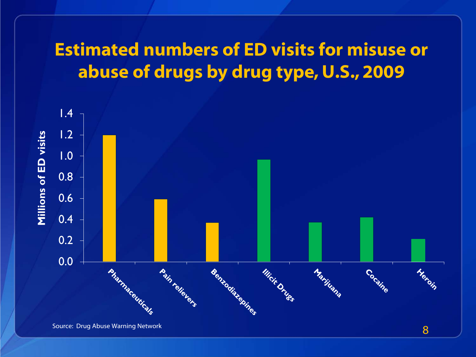# **Estimated numbers of ED visits for misuse or abuse of drugs by drug type, U.S., 2009**



Source: Drug Abuse Warning Network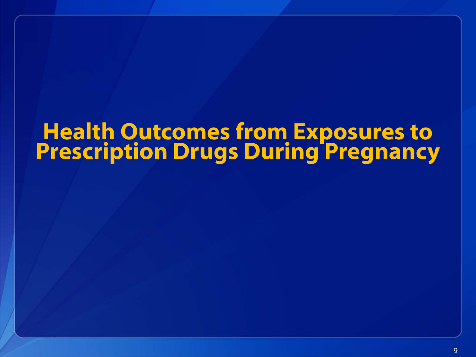# **Health Outcomes from Exposures to Prescription Drugs During Pregnancy**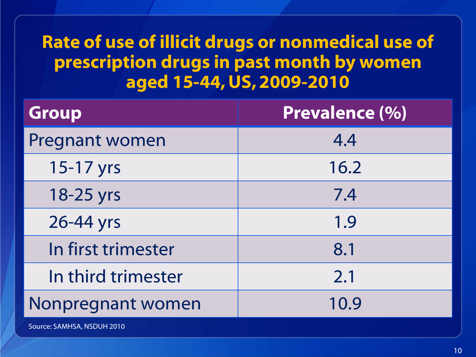# **Rate of use of illicit drugs or nonmedical use of prescription drugs in past month by women aged 15-44, US, 2009-2010**

| <b>Group</b>               | Prevalence (%) |
|----------------------------|----------------|
| <b>Pregnant women</b>      | 4.4            |
| 15-17 yrs                  | 16.2           |
| 18-25 yrs                  | 7.4            |
| 26-44 yrs                  | 1.9            |
| In first trimester         | 8.1            |
| In third trimester         | 2.1            |
| Nonpregnant women          | 10.9           |
| Source: SAMHSA, NSDUH 2010 |                |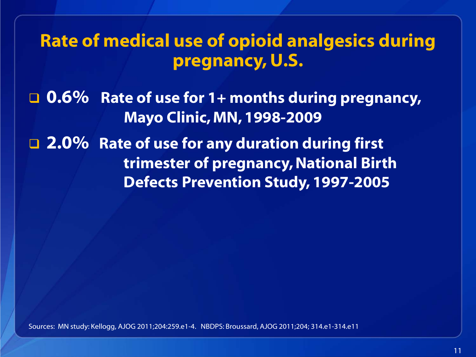#### **Rate of medical use of opioid analgesics during pregnancy, U.S.**

 **0.6% Rate of use for 1+ months during pregnancy, Mayo Clinic, MN, 1998-2009**

 **2.0% Rate of use for any duration during first trimester of pregnancy, National Birth Defects Prevention Study, 1997-2005**

Sources: MN study: Kellogg, AJOG 2011;204:259.e1-4. NBDPS: Broussard, AJOG 2011;204; 314.e1-314.e11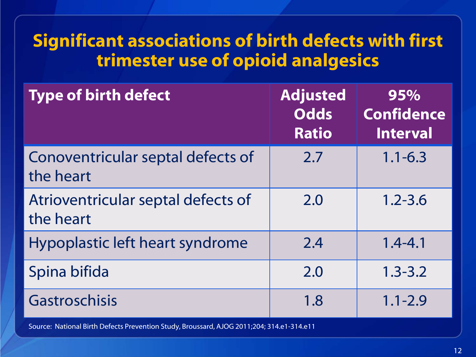# **Significant associations of birth defects with first trimester use of opioid analgesics**

| <b>Type of birth defect</b>                     | <b>Adjusted</b><br><b>Odds</b><br><b>Ratio</b> | 95%<br><b>Confidence</b><br><b>Interval</b> |
|-------------------------------------------------|------------------------------------------------|---------------------------------------------|
| Conoventricular septal defects of<br>the heart  | 2.7                                            | $1.1 - 6.3$                                 |
| Atrioventricular septal defects of<br>the heart | 2.0                                            | $1.2 - 3.6$                                 |
| Hypoplastic left heart syndrome                 | 2.4                                            | $1.4 - 4.1$                                 |
| Spina bifida                                    | 2.0                                            | $1.3 - 3.2$                                 |
| Gastroschisis                                   | 1.8                                            | $1.1 - 2.9$                                 |

Source: National Birth Defects Prevention Study, Broussard, AJOG 2011;204; 314.e1-314.e11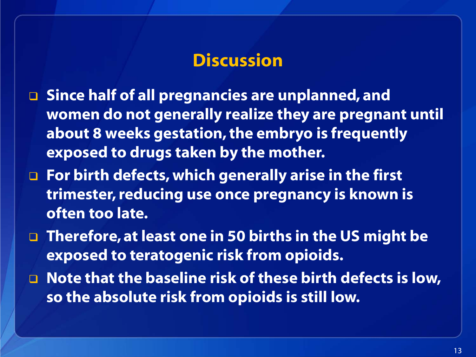#### **Discussion**

- **Since half of all pregnancies are unplanned, and women do not generally realize they are pregnant until about 8 weeks gestation, the embryo is frequently exposed to drugs taken by the mother.**
- **For birth defects, which generally arise in the first trimester, reducing use once pregnancy is known is often too late.**
- **Therefore, at least one in 50 births in the US might be exposed to teratogenic risk from opioids.**
- **Note that the baseline risk of these birth defects is low, so the absolute risk from opioids is still low.**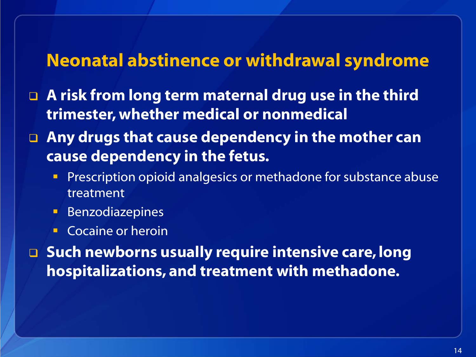#### **Neonatal abstinence or withdrawal syndrome**

- **A risk from long term maternal drug use in the third trimester, whether medical or nonmedical**
- **Any drugs that cause dependency in the mother can cause dependency in the fetus.**
	- **Prescription opioid analgesics or methadone for substance abuse** treatment
	- **Benzodiazepines**
	- Cocaine or heroin

 **Such newborns usually require intensive care, long hospitalizations, and treatment with methadone.**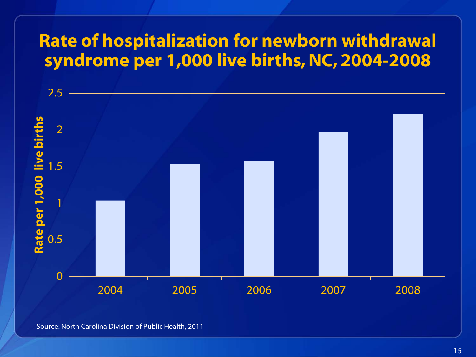# **Rate of hospitalization for newborn withdrawal syndrome per 1,000 live births, NC, 2004-2008**



Source: North Carolina Division of Public Health, 2011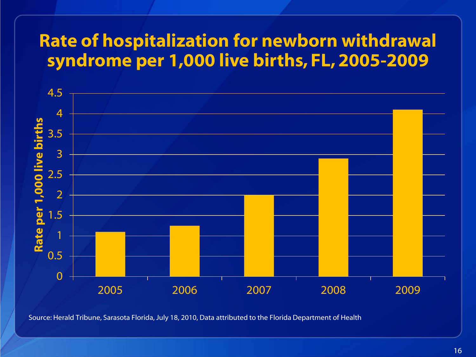### **Rate of hospitalization for newborn withdrawal syndrome per 1,000 live births, FL, 2005-2009**



Source: Herald Tribune, Sarasota Florida, July 18, 2010, Data attributed to the Florida Department of Health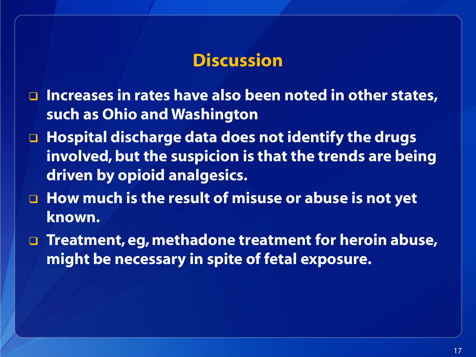#### **Discussion**

- □ Increases in rates have also been noted in other states, **such as Ohio and Washington**
- **Hospital discharge data does not identify the drugs involved, but the suspicion is that the trends are being driven by opioid analgesics.**
- □ How much is the result of misuse or abuse is not yet **known.**
- **Treatment, eg, methadone treatment for heroin abuse, might be necessary in spite of fetal exposure.**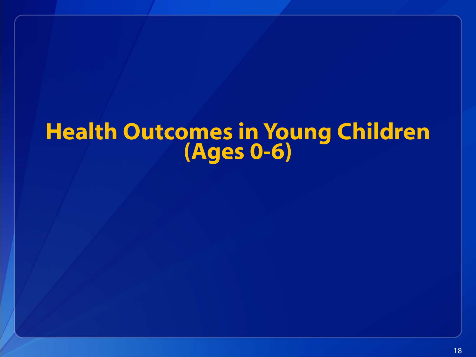# **Health Outcomes in Young Children (Ages 0-6)**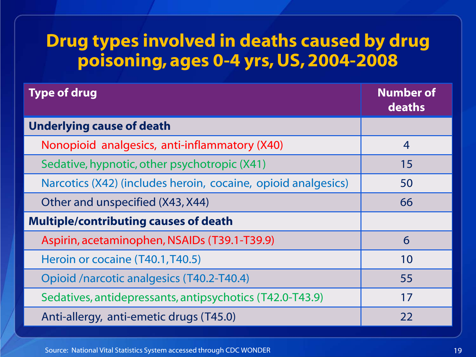#### **Drug types involved in deaths caused by drug poisoning, ages 0-4 yrs, US, 2004-2008**

| <b>Type of drug</b>                                           | <b>Number of</b><br>deaths |
|---------------------------------------------------------------|----------------------------|
| <b>Underlying cause of death</b>                              |                            |
| Nonopioid analgesics, anti-inflammatory (X40)                 | $\overline{4}$             |
| Sedative, hypnotic, other psychotropic (X41)                  | 15                         |
| Narcotics (X42) (includes heroin, cocaine, opioid analgesics) | 50                         |
| Other and unspecified (X43, X44)                              | 66                         |
| <b>Multiple/contributing causes of death</b>                  |                            |
| Aspirin, acetaminophen, NSAIDs (T39.1-T39.9)                  | 6                          |
| Heroin or cocaine (T40.1, T40.5)                              | 10                         |
| Opioid /narcotic analgesics (T40.2-T40.4)                     | 55                         |
| Sedatives, antidepressants, antipsychotics (T42.0-T43.9)      | 17                         |
| Anti-allergy, anti-emetic drugs (T45.0)                       | 22                         |

Source: National Vital Statistics System accessed through CDC WONDER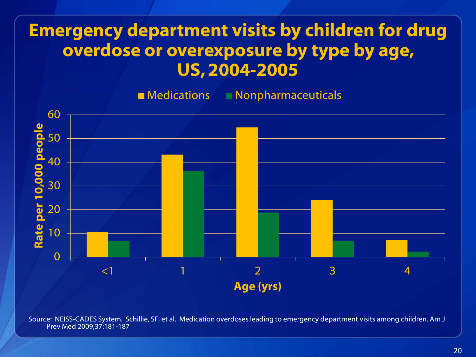### **Emergency department visits by children for drug overdose or overexposure by type by age, US, 2004-2005**

■ Medications ■ Nonpharmaceuticals



Source: NEISS-CADES System. Schillie, SF, et al. Medication overdoses leading to emergency department visits among children. Am J Prev Med 2009;37:181-187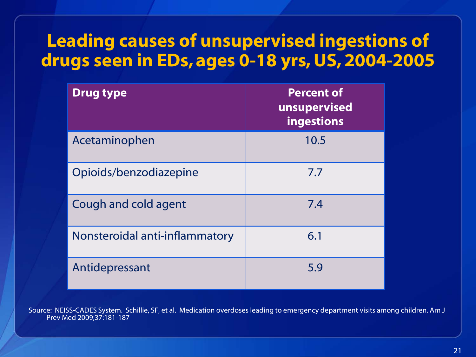# **Leading causes of unsupervised ingestions of drugs seen in EDs, ages 0-18 yrs, US, 2004-2005**

| <b>Drug type</b>               | <b>Percent of</b><br>unsupervised<br>ingestions |
|--------------------------------|-------------------------------------------------|
| Acetaminophen                  | 10.5                                            |
| Opioids/benzodiazepine         | 7.7                                             |
| Cough and cold agent           | 7.4                                             |
| Nonsteroidal anti-inflammatory | 6.1                                             |
| Antidepressant                 | 5.9                                             |

Source: NEISS-CADES System. Schillie, SF, et al. Medication overdoses leading to emergency department visits among children. Am J Prev Med 2009;37:181-187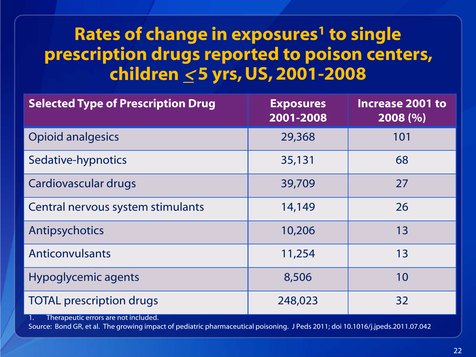# **Rates of change in exposures<sup>1</sup> to single prescription drugs reported to poison centers, children** <sup>&</sup>lt; **5 yrs, US, 2001-2008**

| <b>Selected Type of Prescription Drug</b>  | <b>Exposures</b><br>2001-2008 | <b>Increase 2001 to</b><br>2008 (%) |
|--------------------------------------------|-------------------------------|-------------------------------------|
| <b>Opioid analgesics</b>                   | 29,368                        | 101                                 |
| Sedative-hypnotics                         | 35,131                        | 68                                  |
| Cardiovascular drugs                       | 39,709                        | 27                                  |
| Central nervous system stimulants          | 14,149                        | 26                                  |
| Antipsychotics                             | 10,206                        | 13                                  |
| <b>Anticonvulsants</b>                     | 11,254                        | 13                                  |
| <b>Hypoglycemic agents</b>                 | 8,506                         | 10                                  |
| <b>TOTAL prescription drugs</b>            | 248,023                       | 32                                  |
| Therapeutic errors are not included.<br>1. |                               |                                     |

Source: Bond GR, et al. The growing impact of pediatric pharmaceutical poisoning. J Peds 2011; doi 10.1016/j.jpeds.2011.07.042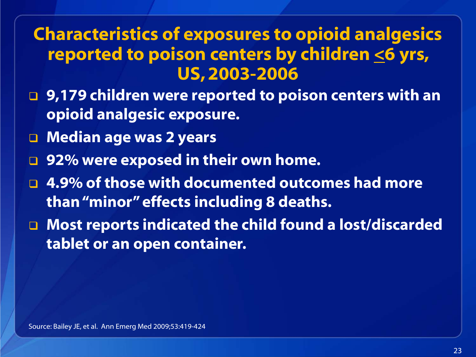#### **Characteristics of exposures to opioid analgesics reported to poison centers by children <6 yrs, US, 2003-2006**

- **9,179 children were reported to poison centers with an opioid analgesic exposure.**
- **Median age was 2 years**
- **92% were exposed in their own home.**
- **4.9% of those with documented outcomes had more than "minor" effects including 8 deaths.**
- **Most reports indicated the child found a lost/discarded tablet or an open container.**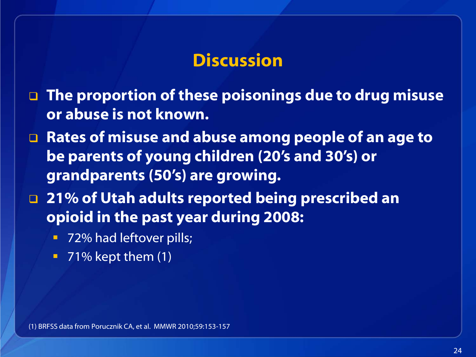#### **Discussion**

- **The proportion of these poisonings due to drug misuse or abuse is not known.**
- **Rates of misuse and abuse among people of an age to be parents of young children (20's and 30's) or grandparents (50's) are growing.**
- **21% of Utah adults reported being prescribed an opioid in the past year during 2008:**
	- 72% had leftover pills;
	- $\blacksquare$  71% kept them (1)

(1) BRFSS data from Porucznik CA, et al. MMWR 2010;59:153-157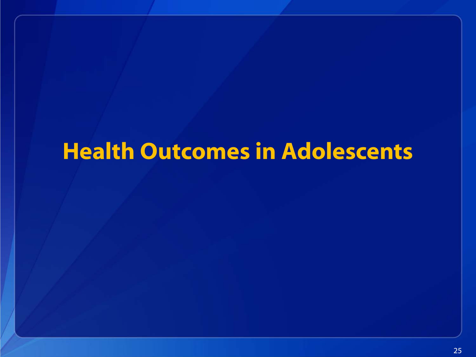# **Health Outcomes in Adolescents**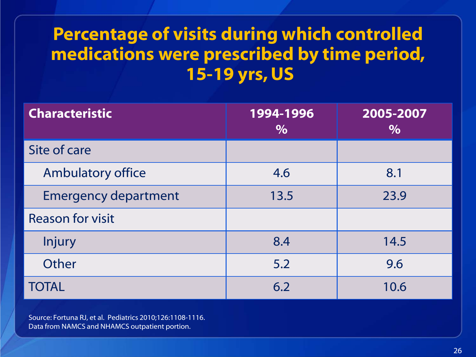# **Percentage of visits during which controlled medications were prescribed by time period, 15-19 yrs, US**

| <b>Characteristic</b>       | 1994-1996<br>$\%$ | 2005-2007<br>$\%$ |
|-----------------------------|-------------------|-------------------|
| Site of care                |                   |                   |
| <b>Ambulatory office</b>    | 4.6               | 8.1               |
| <b>Emergency department</b> | 13.5              | 23.9              |
| <b>Reason for visit</b>     |                   |                   |
| <b>Injury</b>               | 8.4               | 14.5              |
| <b>Other</b>                | 5.2               | 9.6               |
| <b>TOTAL</b>                | 6.2               | 10.6              |

Source: Fortuna RJ, et al. Pediatrics 2010;126:1108-1116. Data from NAMCS and NHAMCS outpatient portion.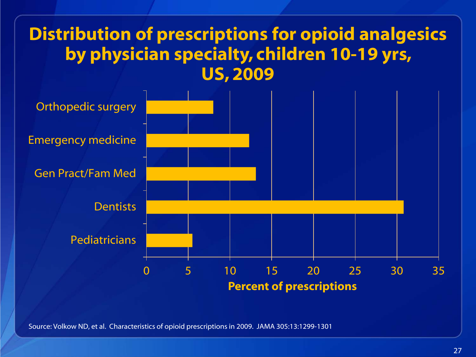#### **Distribution of prescriptions for opioid analgesics by physician specialty, children 10-19 yrs, US, 2009**



Source: Volkow ND, et al. Characteristics of opioid prescriptions in 2009. JAMA 305:13:1299-1301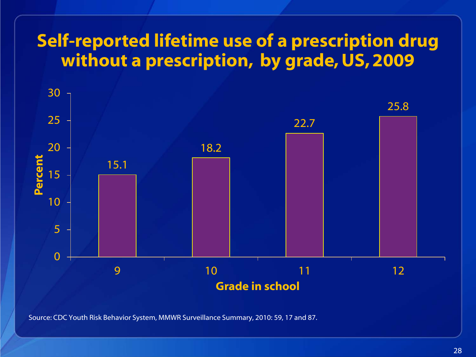## **Self-reported lifetime use of a prescription drug without a prescription, by grade, US, 2009**



Source: CDC Youth Risk Behavior System, MMWR Surveillance Summary, 2010: 59, 17 and 87.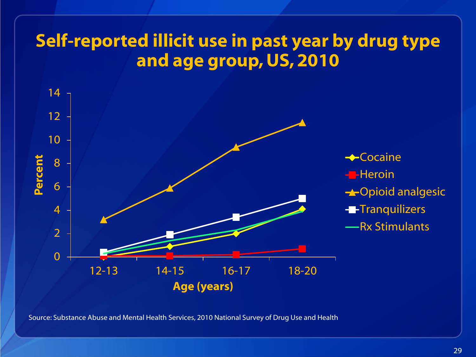# **Self-reported illicit use in past year by drug type and age group, US, 2010**



Source: Substance Abuse and Mental Health Services, 2010 National Survey of Drug Use and Health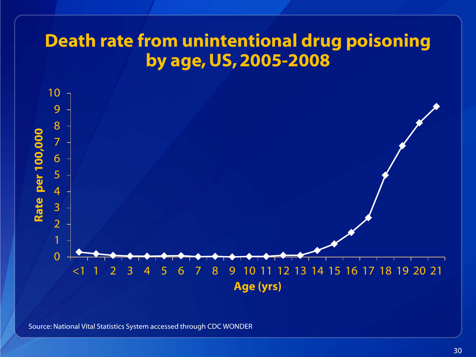# **Death rate from unintentional drug poisoning by age, US, 2005-2008**



Source: National Vital Statistics System accessed through CDC WONDER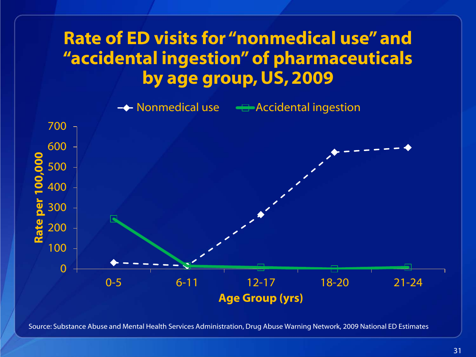# **Rate of ED visits for "nonmedical use" and "accidental ingestion" of pharmaceuticals by age group, US, 2009**

**← Nonmedical use – Accidental ingestion** 



Source: Substance Abuse and Mental Health Services Administration, Drug Abuse Warning Network, 2009 National ED Estimates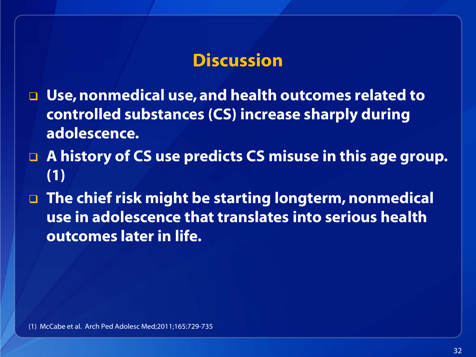#### **Discussion**

- **Use, nonmedical use, and health outcomes related to controlled substances (CS) increase sharply during adolescence.**
- **A history of CS use predicts CS misuse in this age group. (1)**
- **The chief risk might be starting longterm, nonmedical use in adolescence that translates into serious health outcomes later in life.**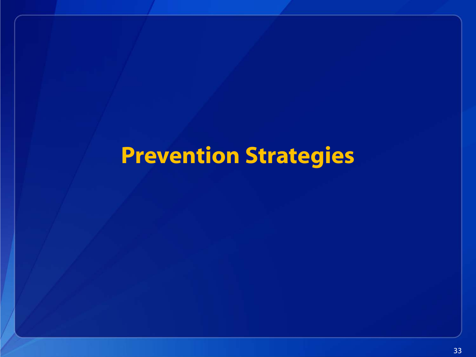# **Prevention Strategies**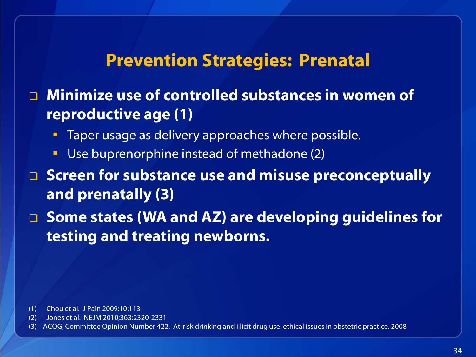#### **Prevention Strategies: Prenatal**

 **Minimize use of controlled substances in women of reproductive age (1)**

- Taper usage as delivery approaches where possible.
- Use buprenorphine instead of methadone (2)
- **Screen for substance use and misuse preconceptually and prenatally (3)**
- **Some states (WA and AZ) are developing guidelines for testing and treating newborns.**

- (1) Chou et al. J Pain 2009:10:113
- (2) Jones et al. NEJM 2010;363:2320-2331
- (3) ACOG, Committee Opinion Number 422. At-risk drinking and illicit drug use: ethical issues in obstetric practice. 2008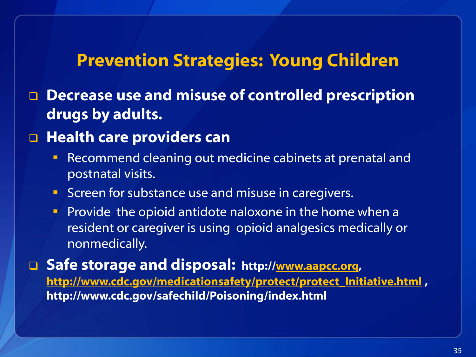#### **Prevention Strategies: Young Children**

 **Decrease use and misuse of controlled prescription drugs by adults.**

#### **Health care providers can**

- **Recommend cleaning out medicine cabinets at prenatal and** postnatal visits.
- **Screen for substance use and misuse in caregivers.**
- **Provide the opioid antidote naloxone in the home when a** resident or caregiver is using opioid analgesics medically or nonmedically.

 **Safe storage and disposal: http:/[/www.aapcc.org,](http://www.aapcc.org/) [http://www.cdc.gov/medicationsafety/protect/protect\\_Initiative.html](http://www.cdc.gov/medicationsafety/protect/protect_Initiative.html) , http://www.cdc.gov/safechild/Poisoning/index.html**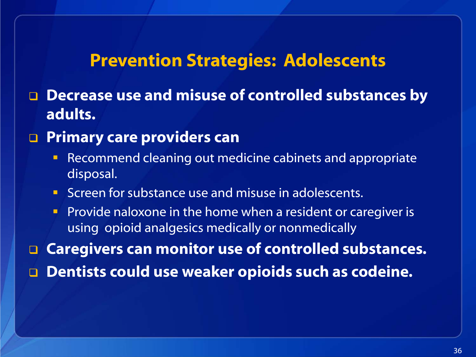#### **Prevention Strategies: Adolescents**

 **Decrease use and misuse of controlled substances by adults.**

#### **Primary care providers can**

- **Recommend cleaning out medicine cabinets and appropriate** disposal.
- **Screen for substance use and misuse in adolescents.**
- **Provide naloxone in the home when a resident or caregiver is** using opioid analgesics medically or nonmedically

**Caregivers can monitor use of controlled substances.**

**Dentists could use weaker opioids such as codeine.**